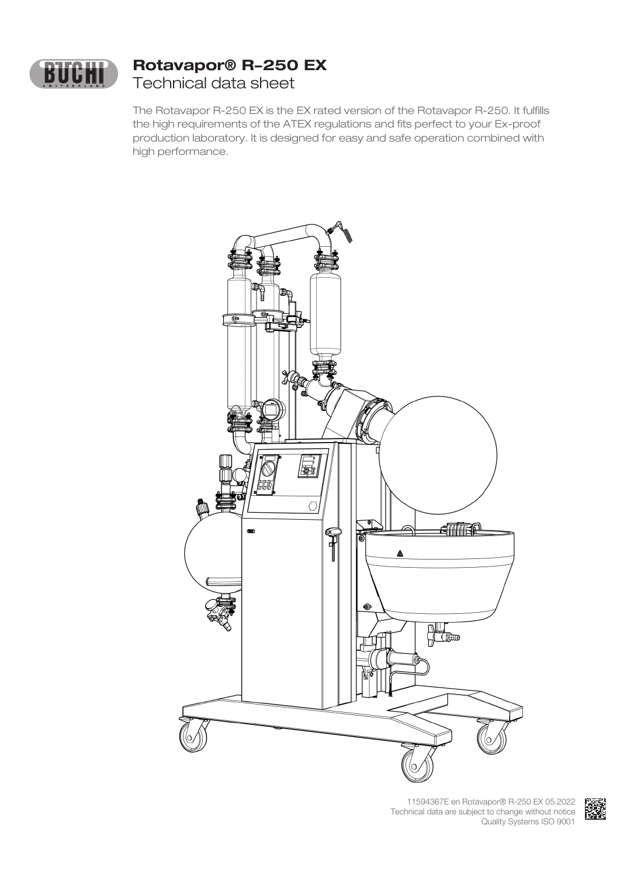

## **Rotavapor® R-250 EX** Technical data sheet

The Rotavapor R-250 EX is the EX rated version of the Rotavapor R-250. It fulfills the high requirements of the ATEX regulations and fits perfect to your Ex-proof production laboratory. It is designed for easy and safe operation combined with high performance.



11594367E en Rotavapor® R-250 EX 05.2022 Technical data are subject to change without notice Quality Systems ISO 9001

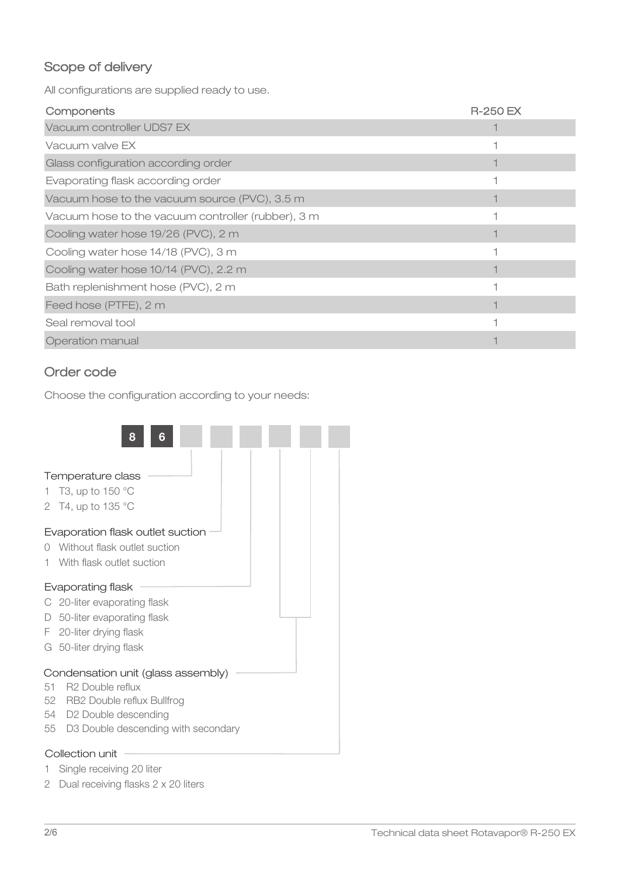## Scope of delivery

All configurations are supplied ready to use.

| Components                                         | <b>R-250 EX</b> |
|----------------------------------------------------|-----------------|
| Vacuum controller UDS7 EX                          |                 |
| Vacuum valve EX                                    |                 |
| Glass configuration according order                |                 |
| Evaporating flask according order                  |                 |
| Vacuum hose to the vacuum source (PVC), 3.5 m      |                 |
| Vacuum hose to the vacuum controller (rubber), 3 m |                 |
| Cooling water hose 19/26 (PVC), 2 m                |                 |
| Cooling water hose 14/18 (PVC), 3 m                |                 |
| Cooling water hose 10/14 (PVC), 2.2 m              |                 |
| Bath replenishment hose (PVC), 2 m                 |                 |
| Feed hose (PTFE), 2 m                              |                 |
| Seal removal tool                                  |                 |
| Operation manual                                   |                 |

### Order code

Choose the configuration according to your needs:



- 1 Single receiving 20 liter
- 2 Dual receiving flasks 2 x 20 liters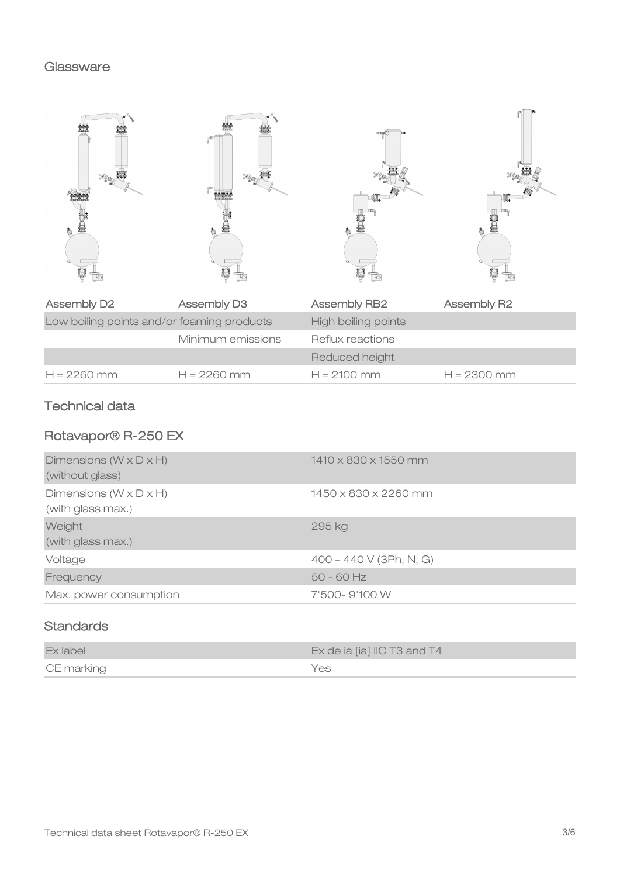#### **Glassware**

| <b>Assembly D2</b>                         | Assembly D3       | Assembly RB2        | Assembly R2   |
|--------------------------------------------|-------------------|---------------------|---------------|
| Low boiling points and/or foaming products |                   | High boiling points |               |
|                                            | Minimum emissions | Reflux reactions    |               |
|                                            |                   | Reduced height      |               |
| $H = 2260$ mm                              | $H = 2260$ mm     | $H = 2100$ mm       | $H = 2300$ mm |

## Technical data

# Rotavapor® R-250 EX

| Dimensions ( $W \times D \times H$ )<br>(without glass)   | $1410 \times 830 \times 1550$ mm |
|-----------------------------------------------------------|----------------------------------|
| Dimensions ( $W \times D \times H$ )<br>(with glass max.) | 1450 x 830 x 2260 mm             |
| Weight<br>(with glass max.)                               | 295 kg                           |
| Voltage                                                   | $400 - 440 V$ (3Ph, N, G)        |
| Frequency                                                 | $50 - 60$ Hz                     |
| Max. power consumption                                    | 7'500-9'100 W                    |

## **Standards**

| Ex label   | Ex de ia [ia] IIC T3 and T4 |
|------------|-----------------------------|
| CE marking | Yes.                        |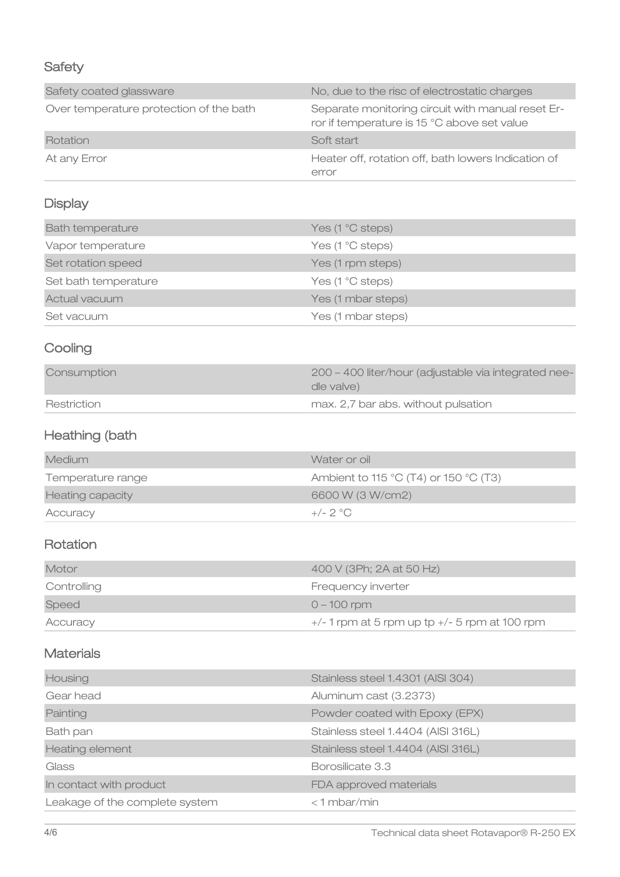## **Safety**

| Safety coated glassware                 | No, due to the risc of electrostatic charges                                                     |
|-----------------------------------------|--------------------------------------------------------------------------------------------------|
| Over temperature protection of the bath | Separate monitoring circuit with manual reset Er-<br>ror if temperature is 15 °C above set value |
| Rotation                                | Soft start                                                                                       |
| At any Error                            | Heater off, rotation off, bath lowers Indication of<br>error                                     |

# **Display**

| <b>Bath temperature</b> | Yes (1 °C steps)   |
|-------------------------|--------------------|
| Vapor temperature       | Yes (1 °C steps)   |
| Set rotation speed      | Yes (1 rpm steps)  |
| Set bath temperature    | Yes (1 °C steps)   |
| Actual vacuum           | Yes (1 mbar steps) |
| Set vacuum              | Yes (1 mbar steps) |

# **Cooling**

| Consumption | 200 – 400 liter/hour (adjustable via integrated nee-<br>dle valve) |
|-------------|--------------------------------------------------------------------|
| Restriction | max. 2,7 bar abs. without pulsation                                |

# Heathing (bath

| Medium            | Water or oil                          |
|-------------------|---------------------------------------|
| Temperature range | Ambient to 115 °C (T4) or 150 °C (T3) |
| Heating capacity  | 6600 W (3 W/cm2)                      |
| Accuracy          | $+/- 2 °C$                            |

## Rotation

| Motor       | 400 V (3Ph; 2A at 50 Hz)                        |
|-------------|-------------------------------------------------|
| Controlling | Frequency inverter                              |
| Speed       | $0 - 100$ rpm                                   |
| Accuracy    | $+/-1$ rpm at 5 rpm up tp $+/-5$ rpm at 100 rpm |

### **Materials**

| Housing                        | Stainless steel 1.4301 (AISI 304)  |
|--------------------------------|------------------------------------|
| Gear head                      | Aluminum cast (3.2373)             |
| Painting                       | Powder coated with Epoxy (EPX)     |
| Bath pan                       | Stainless steel 1.4404 (AISI 316L) |
| <b>Heating element</b>         | Stainless steel 1.4404 (AISI 316L) |
| Glass                          | Borosilicate 3.3                   |
| In contact with product        | FDA approved materials             |
| Leakage of the complete system | <1 mbar/min                        |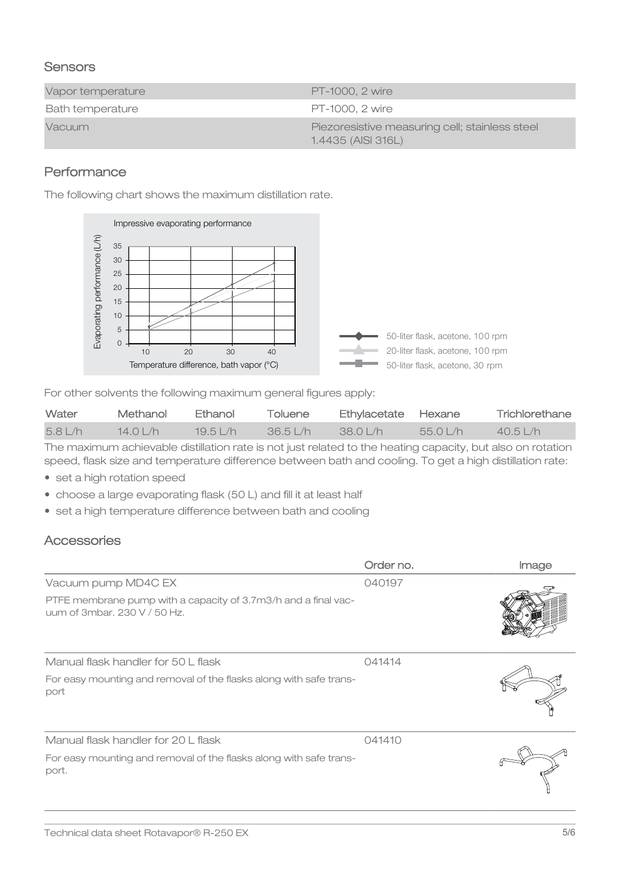### **Sensors**

| Vapor temperature | <b>PT-1000. 2 wire</b>                                               |
|-------------------|----------------------------------------------------------------------|
| Bath temperature  | PT-1000, 2 wire                                                      |
| <b>Vacuum</b>     | Piezoresistive measuring cell; stainless steel<br>1.4435 (AISI 316L) |

### **Performance**

The following chart shows the maximum distillation rate.



For other solvents the following maximum general figures apply:

| Water  | Methanol    | <b>Ethanol</b> | Toluene | Ethylacetate Hexane |          | Trichlorethane |
|--------|-------------|----------------|---------|---------------------|----------|----------------|
| 5.81/h | $14.0$ $/h$ | 1951/h         | 36.51/h | 38 0 I /h           | 55.0 L/h | $40.5$   /h    |

The maximum achievable distillation rate is not just related to the heating capacity, but also on rotation speed, flask size and temperature difference between bath and cooling. To get a high distillation rate:

- set a high rotation speed
- choose a large evaporating flask (50 L) and fill it at least half
- set a high temperature difference between bath and cooling

### **Accessories**

|                                                                                       | Order no. | Image |
|---------------------------------------------------------------------------------------|-----------|-------|
| Vacuum pump MD4C EX<br>PTFE membrane pump with a capacity of 3.7m3/h and a final vac- | 040197    |       |
| uum of 3mbar, 230 V / 50 Hz.                                                          |           |       |
| Manual flask handler for 50 L flask                                                   | 041414    |       |
| For easy mounting and removal of the flasks along with safe trans-<br>port            |           |       |
| Manual flask handler for 20 L flask                                                   | 041410    |       |
| For easy mounting and removal of the flasks along with safe trans-<br>port.           |           |       |